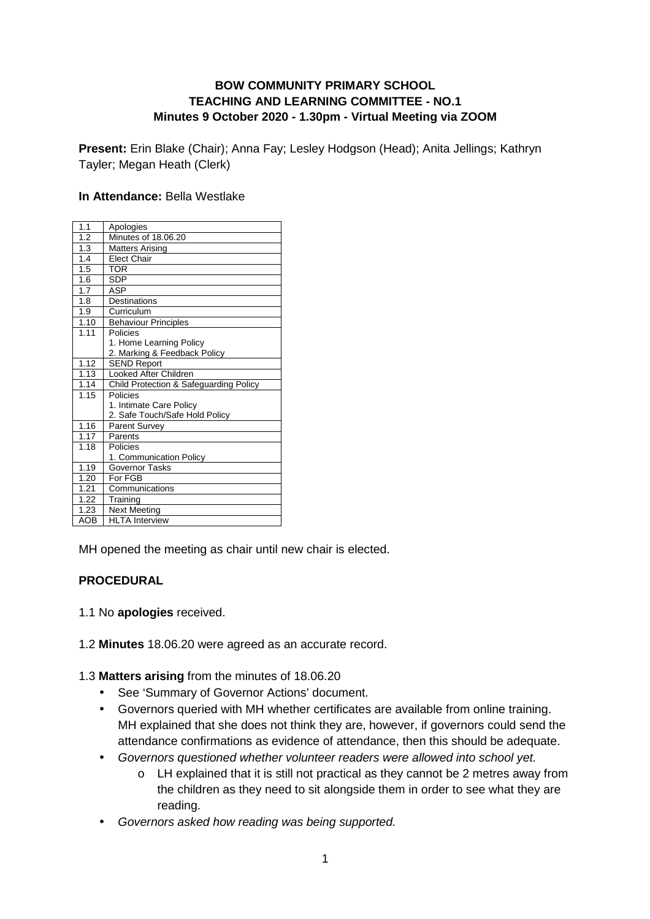### **BOW COMMUNITY PRIMARY SCHOOL TEACHING AND LEARNING COMMITTEE - NO.1 Minutes 9 October 2020 - 1.30pm - Virtual Meeting via ZOOM**

**Present:** Erin Blake (Chair); Anna Fay; Lesley Hodgson (Head); Anita Jellings; Kathryn Tayler; Megan Heath (Clerk)

#### **In Attendance:** Bella Westlake

| 1.1        | Apologies                              |
|------------|----------------------------------------|
| 1.2        | Minutes of 18.06.20                    |
| 1.3        | <b>Matters Arising</b>                 |
| 1.4        | <b>Elect Chair</b>                     |
| 1.5        | TOR                                    |
| 1.6        | <b>SDP</b>                             |
| 1.7        | ASP                                    |
| 1.8        | Destinations                           |
| 1.9        | Curriculum                             |
| 1.10       | <b>Behaviour Principles</b>            |
| 1.11       | Policies                               |
|            | 1. Home Learning Policy                |
|            | 2. Marking & Feedback Policy           |
| 1.12       | <b>SEND Report</b>                     |
| 1.13       | Looked After Children                  |
| 1.14       | Child Protection & Safeguarding Policy |
| 1.15       | Policies                               |
|            | 1. Intimate Care Policy                |
|            | 2. Safe Touch/Safe Hold Policy         |
| 1.16       | <b>Parent Survey</b>                   |
| 1.17       | Parents                                |
| 1.18       | Policies                               |
|            | 1. Communication Policy                |
| 1.19       | <b>Governor Tasks</b>                  |
| 1.20       | For FGB                                |
| 1.21       | Communications                         |
| 1.22       | Training                               |
| 1.23       | <b>Next Meeting</b>                    |
| <b>AOB</b> | <b>HLTA</b> Interview                  |

MH opened the meeting as chair until new chair is elected.

### **PROCEDURAL**

- 1.1 No **apologies** received.
- 1.2 **Minutes** 18.06.20 were agreed as an accurate record.

1.3 **Matters arising** from the minutes of 18.06.20

- See 'Summary of Governor Actions' document.
- Governors queried with MH whether certificates are available from online training. MH explained that she does not think they are, however, if governors could send the attendance confirmations as evidence of attendance, then this should be adequate.
- Governors questioned whether volunteer readers were allowed into school yet.
	- o LH explained that it is still not practical as they cannot be 2 metres away from the children as they need to sit alongside them in order to see what they are reading.
- Governors asked how reading was being supported.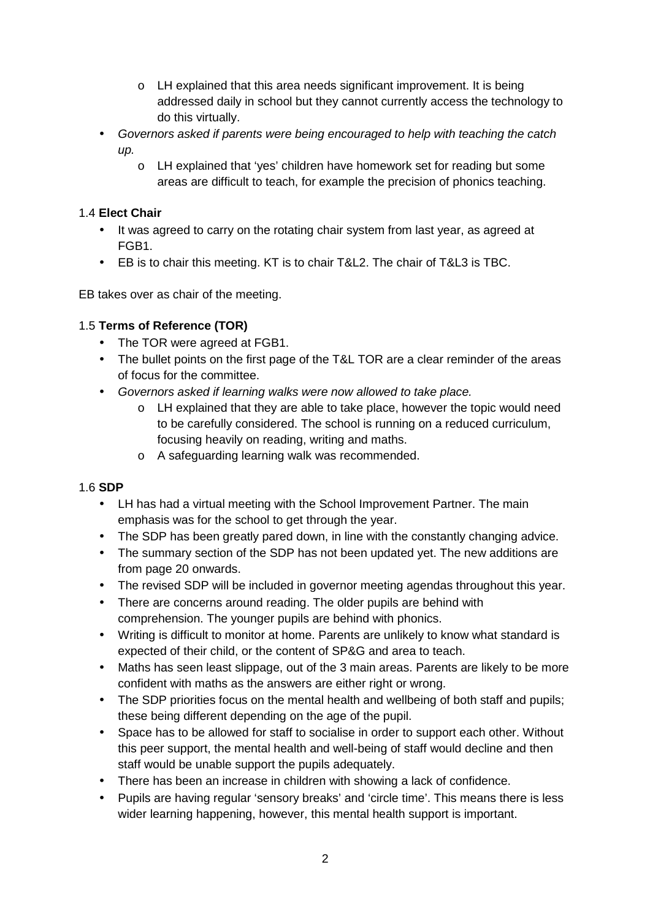- o LH explained that this area needs significant improvement. It is being addressed daily in school but they cannot currently access the technology to do this virtually.
- Governors asked if parents were being encouraged to help with teaching the catch up.
	- o LH explained that 'yes' children have homework set for reading but some areas are difficult to teach, for example the precision of phonics teaching.

### 1.4 **Elect Chair**

- It was agreed to carry on the rotating chair system from last year, as agreed at FGB1.
- EB is to chair this meeting. KT is to chair T&L2. The chair of T&L3 is TBC.

EB takes over as chair of the meeting.

### 1.5 **Terms of Reference (TOR)**

- The TOR were agreed at FGB1.
- The bullet points on the first page of the T&L TOR are a clear reminder of the areas of focus for the committee.
- Governors asked if learning walks were now allowed to take place.
	- o LH explained that they are able to take place, however the topic would need to be carefully considered. The school is running on a reduced curriculum, focusing heavily on reading, writing and maths.
	- o A safeguarding learning walk was recommended.

### 1.6 **SDP**

- LH has had a virtual meeting with the School Improvement Partner. The main emphasis was for the school to get through the year.
- The SDP has been greatly pared down, in line with the constantly changing advice.
- The summary section of the SDP has not been updated yet. The new additions are from page 20 onwards.
- The revised SDP will be included in governor meeting agendas throughout this year.
- There are concerns around reading. The older pupils are behind with comprehension. The younger pupils are behind with phonics.
- Writing is difficult to monitor at home. Parents are unlikely to know what standard is expected of their child, or the content of SP&G and area to teach.
- Maths has seen least slippage, out of the 3 main areas. Parents are likely to be more confident with maths as the answers are either right or wrong.
- The SDP priorities focus on the mental health and wellbeing of both staff and pupils; these being different depending on the age of the pupil.
- Space has to be allowed for staff to socialise in order to support each other. Without this peer support, the mental health and well-being of staff would decline and then staff would be unable support the pupils adequately.
- There has been an increase in children with showing a lack of confidence.
- Pupils are having regular 'sensory breaks' and 'circle time'. This means there is less wider learning happening, however, this mental health support is important.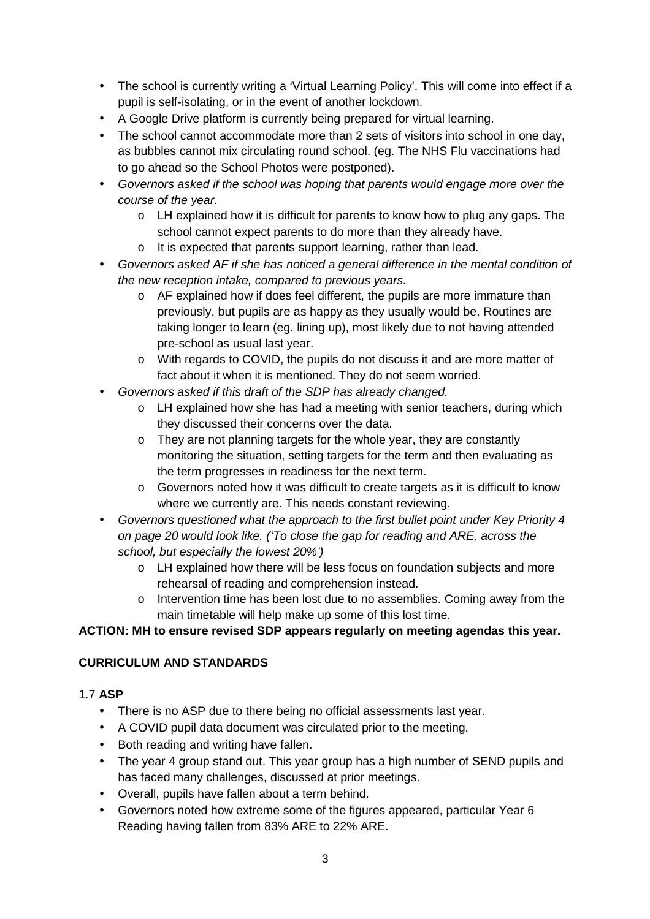- The school is currently writing a 'Virtual Learning Policy'. This will come into effect if a pupil is self-isolating, or in the event of another lockdown.
- A Google Drive platform is currently being prepared for virtual learning.
- The school cannot accommodate more than 2 sets of visitors into school in one day, as bubbles cannot mix circulating round school. (eg. The NHS Flu vaccinations had to go ahead so the School Photos were postponed).
- Governors asked if the school was hoping that parents would engage more over the course of the year.
	- $\circ$  LH explained how it is difficult for parents to know how to plug any gaps. The school cannot expect parents to do more than they already have.
	- o It is expected that parents support learning, rather than lead.
- Governors asked AF if she has noticed a general difference in the mental condition of the new reception intake, compared to previous years.
	- $\circ$  AF explained how if does feel different, the pupils are more immature than previously, but pupils are as happy as they usually would be. Routines are taking longer to learn (eg. lining up), most likely due to not having attended pre-school as usual last year.
	- o With regards to COVID, the pupils do not discuss it and are more matter of fact about it when it is mentioned. They do not seem worried.
- Governors asked if this draft of the SDP has already changed.
	- $\circ$  LH explained how she has had a meeting with senior teachers, during which they discussed their concerns over the data.
	- o They are not planning targets for the whole year, they are constantly monitoring the situation, setting targets for the term and then evaluating as the term progresses in readiness for the next term.
	- $\circ$  Governors noted how it was difficult to create targets as it is difficult to know where we currently are. This needs constant reviewing.
- Governors questioned what the approach to the first bullet point under Key Priority 4 on page 20 would look like. ('To close the gap for reading and ARE, across the school, but especially the lowest 20%')
	- o LH explained how there will be less focus on foundation subjects and more rehearsal of reading and comprehension instead.
	- o Intervention time has been lost due to no assemblies. Coming away from the main timetable will help make up some of this lost time.

### **ACTION: MH to ensure revised SDP appears regularly on meeting agendas this year.**

### **CURRICULUM AND STANDARDS**

### 1.7 **ASP**

- There is no ASP due to there being no official assessments last year.
- A COVID pupil data document was circulated prior to the meeting.
- Both reading and writing have fallen.
- The year 4 group stand out. This year group has a high number of SEND pupils and has faced many challenges, discussed at prior meetings.
- Overall, pupils have fallen about a term behind.
- Governors noted how extreme some of the figures appeared, particular Year 6 Reading having fallen from 83% ARE to 22% ARE.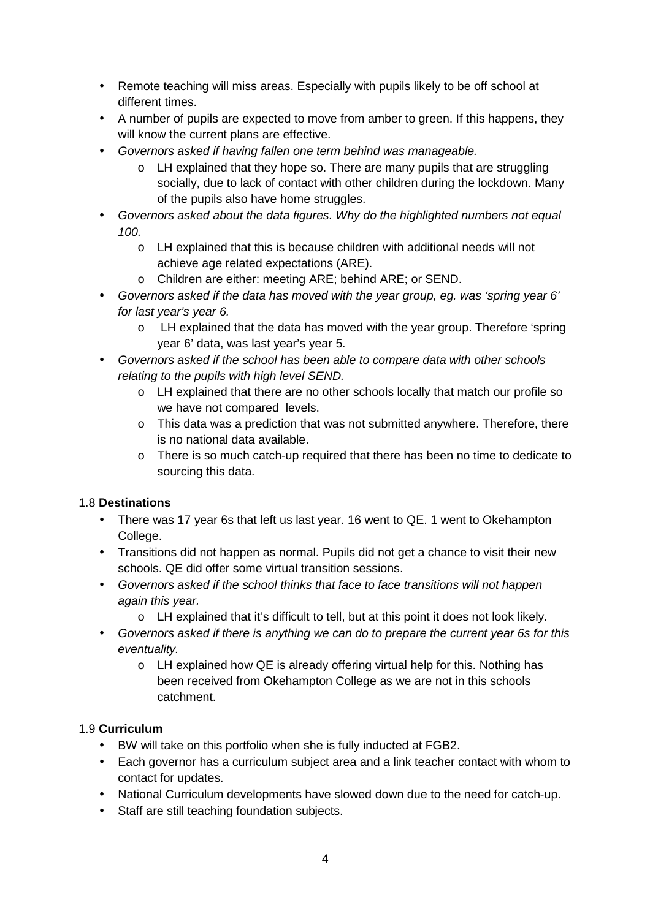- Remote teaching will miss areas. Especially with pupils likely to be off school at different times.
- A number of pupils are expected to move from amber to green. If this happens, they will know the current plans are effective.
- Governors asked if having fallen one term behind was manageable.
	- $\circ$  LH explained that they hope so. There are many pupils that are struggling socially, due to lack of contact with other children during the lockdown. Many of the pupils also have home struggles.
- Governors asked about the data figures. Why do the highlighted numbers not equal 100.
	- o LH explained that this is because children with additional needs will not achieve age related expectations (ARE).
	- o Children are either: meeting ARE; behind ARE; or SEND.
- Governors asked if the data has moved with the year group, eg. was 'spring year 6' for last year's year 6.
	- o LH explained that the data has moved with the year group. Therefore 'spring year 6' data, was last year's year 5.
- Governors asked if the school has been able to compare data with other schools relating to the pupils with high level SEND.
	- o LH explained that there are no other schools locally that match our profile so we have not compared levels.
	- o This data was a prediction that was not submitted anywhere. Therefore, there is no national data available.
	- o There is so much catch-up required that there has been no time to dedicate to sourcing this data.

## 1.8 **Destinations**

- There was 17 year 6s that left us last year. 16 went to QE. 1 went to Okehampton College.
- Transitions did not happen as normal. Pupils did not get a chance to visit their new schools. QE did offer some virtual transition sessions.
- Governors asked if the school thinks that face to face transitions will not happen again this year.
	- o LH explained that it's difficult to tell, but at this point it does not look likely.
- Governors asked if there is anything we can do to prepare the current year 6s for this eventuality.
	- o LH explained how QE is already offering virtual help for this. Nothing has been received from Okehampton College as we are not in this schools catchment.

## 1.9 **Curriculum**

- BW will take on this portfolio when she is fully inducted at FGB2.
- Each governor has a curriculum subiect area and a link teacher contact with whom to contact for updates.
- National Curriculum developments have slowed down due to the need for catch-up.
- Staff are still teaching foundation subjects.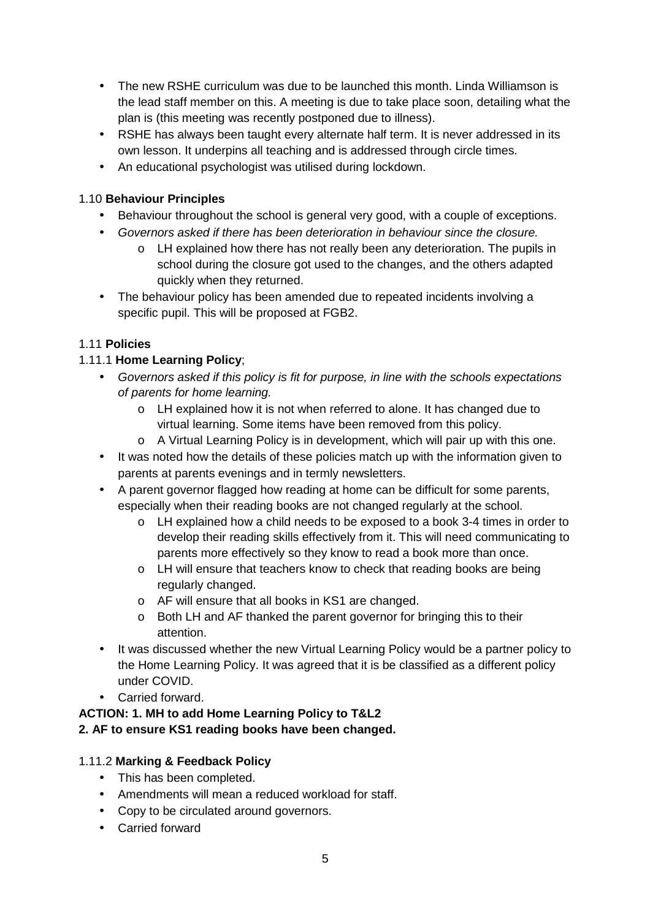- The new RSHE curriculum was due to be launched this month. Linda Williamson is the lead staff member on this. A meeting is due to take place soon, detailing what the plan is (this meeting was recently postponed due to illness).
- RSHE has always been taught every alternate half term. It is never addressed in its own lesson. It underpins all teaching and is addressed through circle times.
- An educational psychologist was utilised during lockdown.

### 1.10 **Behaviour Principles**

- Behaviour throughout the school is general very good, with a couple of exceptions.
- Governors asked if there has been deterioration in behaviour since the closure.
	- o LH explained how there has not really been any deterioration. The pupils in school during the closure got used to the changes, and the others adapted quickly when they returned.
- The behaviour policy has been amended due to repeated incidents involving a specific pupil. This will be proposed at FGB2.

### 1.11 **Policies**

### 1.11.1 **Home Learning Policy**;

- Governors asked if this policy is fit for purpose, in line with the schools expectations of parents for home learning.
	- o LH explained how it is not when referred to alone. It has changed due to virtual learning. Some items have been removed from this policy.
	- o A Virtual Learning Policy is in development, which will pair up with this one.
- It was noted how the details of these policies match up with the information given to parents at parents evenings and in termly newsletters.
- A parent governor flagged how reading at home can be difficult for some parents, especially when their reading books are not changed regularly at the school.
	- o LH explained how a child needs to be exposed to a book 3-4 times in order to develop their reading skills effectively from it. This will need communicating to parents more effectively so they know to read a book more than once.
	- o LH will ensure that teachers know to check that reading books are being regularly changed.
	- o AF will ensure that all books in KS1 are changed.
	- o Both LH and AF thanked the parent governor for bringing this to their attention.
- It was discussed whether the new Virtual Learning Policy would be a partner policy to the Home Learning Policy. It was agreed that it is be classified as a different policy under COVID.
- Carried forward.

#### **ACTION: 1. MH to add Home Learning Policy to T&L2 2. AF to ensure KS1 reading books have been changed.**

## 1.11.2 **Marking & Feedback Policy**

- This has been completed.
- Amendments will mean a reduced workload for staff.
- Copy to be circulated around governors.
- Carried forward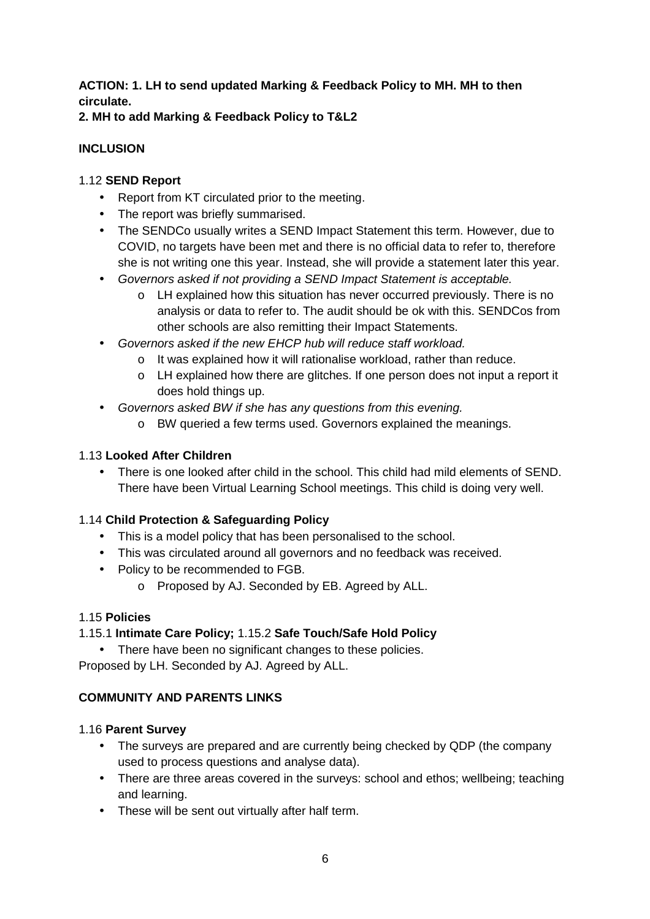# **ACTION: 1. LH to send updated Marking & Feedback Policy to MH. MH to then circulate.**

### **2. MH to add Marking & Feedback Policy to T&L2**

## **INCLUSION**

## 1.12 **SEND Report**

- Report from KT circulated prior to the meeting.
- The report was briefly summarised.
- The SENDCo usually writes a SEND Impact Statement this term. However, due to COVID, no targets have been met and there is no official data to refer to, therefore she is not writing one this year. Instead, she will provide a statement later this year.
- Governors asked if not providing a SEND Impact Statement is acceptable.
	- o LH explained how this situation has never occurred previously. There is no analysis or data to refer to. The audit should be ok with this. SENDCos from other schools are also remitting their Impact Statements.
- Governors asked if the new EHCP hub will reduce staff workload.
	- o It was explained how it will rationalise workload, rather than reduce.
	- o LH explained how there are glitches. If one person does not input a report it does hold things up.
- Governors asked BW if she has any questions from this evening.
	- o BW queried a few terms used. Governors explained the meanings.

# 1.13 **Looked After Children**

• There is one looked after child in the school. This child had mild elements of SEND. There have been Virtual Learning School meetings. This child is doing very well.

## 1.14 **Child Protection & Safeguarding Policy**

- This is a model policy that has been personalised to the school.
- This was circulated around all governors and no feedback was received.
- Policy to be recommended to FGB.
	- o Proposed by AJ. Seconded by EB. Agreed by ALL.

## 1.15 **Policies**

# 1.15.1 **Intimate Care Policy;** 1.15.2 **Safe Touch/Safe Hold Policy**

• There have been no significant changes to these policies. Proposed by LH. Seconded by AJ. Agreed by ALL.

# **COMMUNITY AND PARENTS LINKS**

## 1.16 **Parent Survey**

- The surveys are prepared and are currently being checked by QDP (the company used to process questions and analyse data).
- There are three areas covered in the surveys: school and ethos; wellbeing; teaching and learning.
- These will be sent out virtually after half term.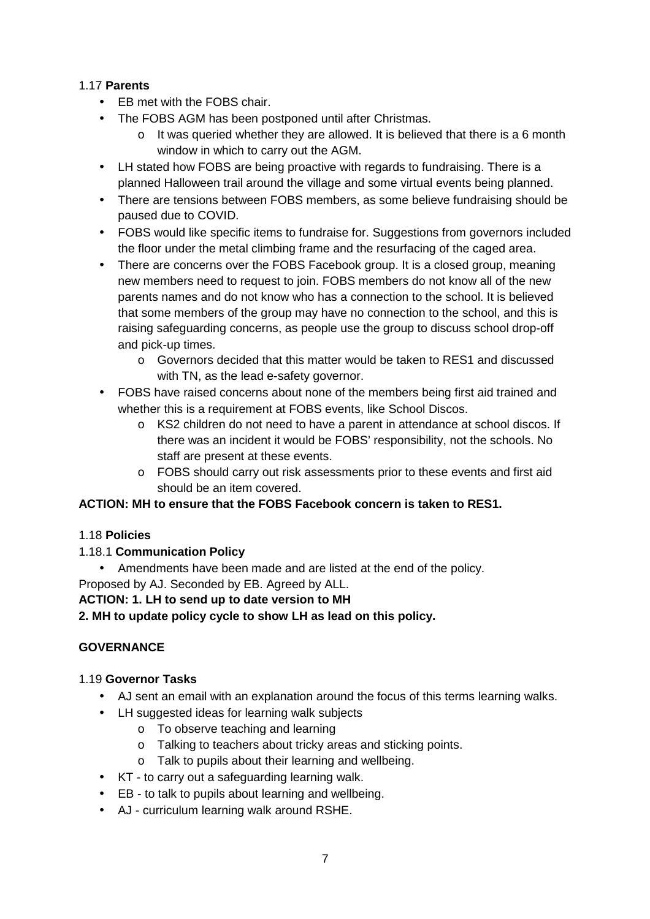### 1.17 **Parents**

- EB met with the FOBS chair.
- The FOBS AGM has been postponed until after Christmas.
	- $\circ$  It was queried whether they are allowed. It is believed that there is a 6 month window in which to carry out the AGM.
- LH stated how FOBS are being proactive with regards to fundraising. There is a planned Halloween trail around the village and some virtual events being planned.
- There are tensions between FOBS members, as some believe fundraising should be paused due to COVID.
- FOBS would like specific items to fundraise for. Suggestions from governors included the floor under the metal climbing frame and the resurfacing of the caged area.
- There are concerns over the FOBS Facebook group. It is a closed group, meaning new members need to request to join. FOBS members do not know all of the new parents names and do not know who has a connection to the school. It is believed that some members of the group may have no connection to the school, and this is raising safeguarding concerns, as people use the group to discuss school drop-off and pick-up times.
	- o Governors decided that this matter would be taken to RES1 and discussed with TN, as the lead e-safety governor.
- FOBS have raised concerns about none of the members being first aid trained and whether this is a requirement at FOBS events, like School Discos.
	- $\circ$  KS2 children do not need to have a parent in attendance at school discos. If there was an incident it would be FOBS' responsibility, not the schools. No staff are present at these events.
	- o FOBS should carry out risk assessments prior to these events and first aid should be an item covered.

### **ACTION: MH to ensure that the FOBS Facebook concern is taken to RES1.**

### 1.18 **Policies**

### 1.18.1 **Communication Policy**

• Amendments have been made and are listed at the end of the policy. Proposed by AJ. Seconded by EB. Agreed by ALL.

### **ACTION: 1. LH to send up to date version to MH**

### **2. MH to update policy cycle to show LH as lead on this policy.**

## **GOVERNANCE**

### 1.19 **Governor Tasks**

- AJ sent an email with an explanation around the focus of this terms learning walks.
- LH suggested ideas for learning walk subjects
	- o To observe teaching and learning
	- o Talking to teachers about tricky areas and sticking points.
	- o Talk to pupils about their learning and wellbeing.
- KT to carry out a safeguarding learning walk.
- EB to talk to pupils about learning and wellbeing.
- AJ curriculum learning walk around RSHE.